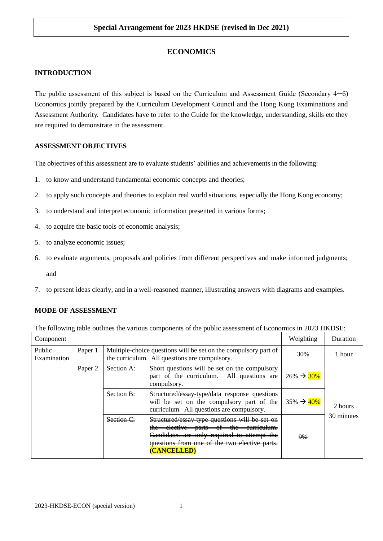# **ECONOMICS**

## **INTRODUCTION**

The public assessment of this subject is based on the Curriculum and Assessment Guide (Secondary 4─6) Economics jointly prepared by the Curriculum Development Council and the Hong Kong Examinations and Assessment Authority. Candidates have to refer to the Guide for the knowledge, understanding, skills etc they are required to demonstrate in the assessment.

#### **ASSESSMENT OBJECTIVES**

The objectives of this assessment are to evaluate students' abilities and achievements in the following:

- 1. to know and understand fundamental economic concepts and theories;
- 2. to apply such concepts and theories to explain real world situations, especially the Hong Kong economy;
- 3. to understand and interpret economic information presented in various forms;
- 4. to acquire the basic tools of economic analysis;
- 5. to analyze economic issues;
- 6. to evaluate arguments, proposals and policies from different perspectives and make informed judgments;

and

7. to present ideas clearly, and in a well-reasoned manner, illustrating answers with diagrams and examples.

## **MODE OF ASSESSMENT**

|  | The following table outlines the various components of the public assessment of Economics in 2023 HKDSE: |  |  |  |  |
|--|----------------------------------------------------------------------------------------------------------|--|--|--|--|
|--|----------------------------------------------------------------------------------------------------------|--|--|--|--|

| Component             |         |                                                                                                                  |                                                                                                                                                                                                                          | Weighting               | Duration   |  |
|-----------------------|---------|------------------------------------------------------------------------------------------------------------------|--------------------------------------------------------------------------------------------------------------------------------------------------------------------------------------------------------------------------|-------------------------|------------|--|
| Public<br>Examination | Paper 1 | Multiple-choice questions will be set on the compulsory part of<br>the curriculum. All questions are compulsory. |                                                                                                                                                                                                                          | 30%                     | 1 hour     |  |
|                       | Paper 2 | Section A:                                                                                                       | Short questions will be set on the compulsory<br>part of the curriculum. All questions are<br>compulsory.                                                                                                                | $26\% \rightarrow 30\%$ |            |  |
|                       |         | Section B:                                                                                                       | Structured/essay-type/data response questions<br>will be set on the compulsory part of the<br>curriculum. All questions are compulsory.                                                                                  | $35\% \rightarrow 40\%$ | 2 hours    |  |
|                       |         | Section C:                                                                                                       | Structured/essay type questions will be set on<br>-elective-<br>$th \alpha$<br><del>parts</del><br>σ<br>Candidates are only required to attempt the<br>questions from one of the two elective parts.<br><b>CANCELLED</b> | $9\%$                   | 30 minutes |  |